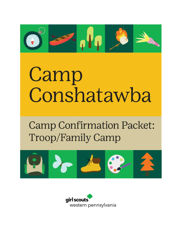

# Camp Conshatawba

**Camp Confirmation Packet: Troop/Family Camp** 



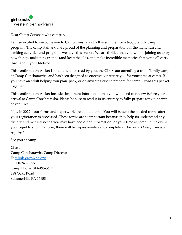

Dear Camp Conshatawba camper,

I am so excited to welcome you to Camp Conshatawba this summer for a troop/family camp program. The camp staff and I are proud of the planning and preparation for the many fun and exciting activities and programs we have this season. We are thrilled that you will be joining us to try new things, make new friends (and keep the old), and make incredible memories that you will carry throughout your lifetime.

This confirmation packet is intended to be read by you, the Girl Scout attending a troop/family camp at Camp Conshatawba, and has been designed to effectively prepare you for your time at camp. If you have an adult helping you plan, pack, or do anything else to prepare for camp—read this packet together.

This confirmation packet includes important information that you will need to review before your arrival at Camp Conshatawba. Please be sure to read it in its entirety to fully prepare for your camp adventure!

New in 2022—our forms and paperwork are going digital! You will be sent the needed forms after your registration is processed. These forms are so important because they help us understand any dietary and medical needs you may have and other information for your time at camp. In the event you forget to submit a form, there will be copies available to complete at check-in. *These forms are required.* 

See you at camp!

Chase Camp Conshatawba Camp Director E: [mlinley@gswpa.org](mailto:mlinley@gswpa.org) T: 800-248-3355 Camp Phone: 814-495-5651 288 Oaks Road Summerhill, PA 15958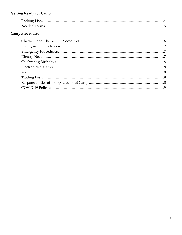# **Getting Ready for Camp!**

# **Camp Procedures**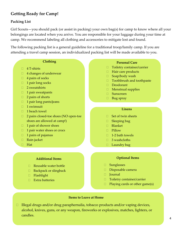# **Getting Ready for Camp!**

#### **Packing List**

Girl Scouts—you should pack (or assist in packing) your own bag(s) for camp to know where all your belongings are located when you arrive. You are responsible for your luggage during your time at camp. We recommend labeling all clothing and accessories to mitigate lost and found.

The following packing list is a general guideline for a traditional troop/family camp. If you are attending a travel camp session, an individualized packing list will be made available to you.

#### **Clothing**

- $\Box$  4 T-shirts
- □ 4 changes of underwear
- $\Box$  4 pairs of socks
- $\Box$  1 pair long socks
- $\Box$  2 sweatshirts
- $\Box$  1 pair sweatpants
- $\Box$  2 pairs of shorts
- $\Box$  1 pair long pants/jeans
- $\boxed{1}$  swimsuit
- $\Box$  1 beach towel
- □ 2 pairs closed-toe shoes (NO open-toe shoes are allowed at camp!)
- $\Box$  1 pair of shower shoes
- 1 pair water shoes or crocs
- $\Box$  1 pairs of pajamas
- Rain jacket
- Hat

#### **Additional Items**

- Reusable water bottle
- □ Backpack or slingback
- Flashlight
- $\Box$  Extra batteries

#### **Personal Care**

- □ Toiletry container/carrier
- Hair care products
- $\Box$  Soap/body wash
- □ Toothbrush and toothpaste
- Deodorant
- Menstrual supplies
- Sunscreen
- $\Box$  Bug spray

#### **Linens**

- □ Set of twin sheets
- □ Sleeping bag
- Blanket
- Pillow
- □ 1-2 bath towels
- □ 3 washcloths
- $\Box$  Laundry bag

#### **Optional Items**

- Sunglasses
- Disposable camera
- Journal
- □ Toiletry container/carrier
- $\Box$  Playing cards or other game(s)

#### **Items to Leave at Home**

 $\Box$  Illegal drugs and/or drug paraphernalia, tobacco products and/or vaping devices, alcohol, knives, guns, or any weapon, fireworks or explosives, matches, lighters, or candles.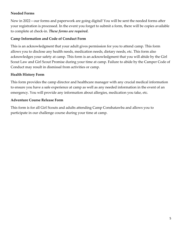#### **Needed Forms**

New in 2022—our forms and paperwork are going digital! You will be sent the needed forms after your registration is processed. In the event you forget to submit a form, there will be copies available to complete at check-in. *These forms are required.* 

#### **Camp Information and Code of Conduct Form**

This is an acknowledgment that your adult gives permission for you to attend camp. This form allows you to disclose any health needs, medication needs, dietary needs, etc. This form also acknowledges your safety at camp. This form is an acknowledgment that you will abide by the Girl Scout Law and Girl Scout Promise during your time at camp. Failure to abide by the Camper Code of Conduct may result in dismissal from activities or camp.

#### **Health History Form**

This form provides the camp director and healthcare manager with any crucial medical information to ensure you have a safe experience at camp as well as any needed information in the event of an emergency. You will provide any information about allergies, medication you take, etc.

#### **Adventure Course Release Form**

This form is for all Girl Scouts and adults attending Camp Conshatawba and allows you to participate in our challenge course during your time at camp.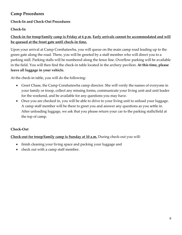## **Camp Procedures**

## **Check-In and Check-Out Procedures**

## **Check-In**

## **Check-in for troop/family camp is Friday at 6 p.m. Early arrivals cannot be accommodated and will be queued at the front gate until check-in time.**

Upon your arrival at Camp Conshatawba, you will queue on the main camp road leading up to the green gate along the road. There, you will be greeted by a staff member who will direct you to a parking stall. Parking stalls will be numbered along the fence line. Overflow parking will be available in the field. You will then find the check-in table located in the archery pavilion. **At this time, please leave all luggage in your vehicle.** 

At the check-in table, you will do the following:

- Greet Chase, the Camp Conshatawba camp director. She will verify the names of everyone in your family or troop, collect any missing forms, communicate your living unit and unit leader for the weekend, and be available for any questions you may have.
- Once you are checked in, you will be able to drive to your living unit to unload your luggage. A camp staff member will be there to greet you and answer any questions as you settle in. After unloading luggage, we ask that you please return your car to the parking stalls/field at the top of camp.

## **Check-Out**

## **Check-out for troop/family camp is Sunday at 10 a.m.** During check-out you will:

- finish cleaning your living space and packing your luggage and
- check out with a camp staff member.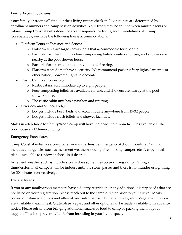## **Living Accommodations**

Your family or troop will find out their living unit at check-in. Living units are determined by enrollment numbers and camp session activities. Your troop may be split between multiple tents or cabins. **Camp Conshatawba does not accept requests for living accommodations.** At Camp Conshatawba, we have the following living accommodations:

- Platform Tents at Shawnee and Seneca
	- o Platform tents are large canvas tents that accommodate four people.
	- o Each platform tent unit has four composting toilets available for use, and showers are nearby at the pool shower house.
	- o Each platform tent unit has a pavilion and fire ring.
	- o Platform tents do not have electricity. We recommend packing fairy lights, lanterns, or other battery-powered lights to decorate.
- Rustic Cabins at Conestoga
	- o Rustic cabins accommodate up to eight people.
	- o Four composting toilets are available for use, and showers are nearby at the pool shower house.
	- o The rustic cabin unit has a pavilion and fire ring.
- Overlook and Seneca Lodge
	- o Lodges include bunk beds and accommodate anywhere from 15-32 people.
	- o Lodges include flush toilets and shower facilities.

Males in attendance for family/troop camp will have their own bathroom facilities available at the pool house and Memory Lodge.

#### **Emergency Procedures**

Camp Conshatawba has a comprehensive and extensive Emergency Action Procedure Plan that includes emergencies such as inclement weather/flooding, fire, missing camper, etc. A copy of this plan is available to review at check-in if desired.

Inclement weather such as thunderstorms does sometimes occur during camp. During a thunderstorm, all campers will be indoors until the storm passes and there is no thunder or lightning for 30 minutes consecutively.

#### **Dietary Needs**

If you or any family/troop members have a dietary restriction or any additional dietary needs that are not listed on your registration, please reach out to the camp director prior to your arrival. Meals consist of balanced options and alternatives (salad bar, sun butter and jelly, etc.). Vegetarian options are available at each meal. Gluten-free, vegan, and other options can be made available with advance notice. Please refrain from bringing additional snacks or food to camp or packing them in your luggage. This is to prevent wildlife from intruding in your living space.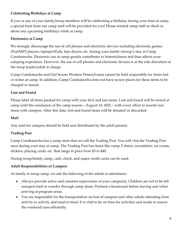## **Celebrating Birthdays at Camp**

If you or any of your family/troop members will be celebrating a birthday during your time at camp, a special treat from our camp staff will be provided for you! Please remind camp staff at check-in about any upcoming birthdays while at camp.

#### **Electronics at Camp**

We strongly discourage the use of cell phones and electronic devices including electronic games, iPod/MP3 players, laptops/iPads, hair dryers, etc. during your family's/troop's stay at Camp Conshatawba. Electronic use at camp greatly contributes to homesickness and thus affects your camping experience. However, the use of cell phones and electronic devices is at the sole discretion of the troop leader/adult in charge.

Camp Conshatawba and Girl Scouts Western Pennsylvania cannot be held responsible for items lost or stolen at camp. In addition, Camp Conshatawba does not have secure places for these items to be charged or stored.

#### **Lost and Found**

Please label all items packed for camp with your first and last name. Lost and found will be stored at camp until the conclusion of the camp season—August 14, 2022—with every effort to reunite lost items with campers. After this date, lost and found items will be donated or discarded.

#### **Mail**

Any mail for campers should be held and distributed by the adult present.

## **Trading Post**

Camp Conshatawba has a camp store that we call the Trading Post. You will visit the Trading Post once during your stay at camp. The Trading Post has items like camp T-shirts, sweatshirts, ice cream, stickers, playing cards, etc. that range in price from \$3 to \$40.

During troop/family camp, cash, check, and major credit cards can be used.

## **Adult Responsibilities of Campers**

At family or troop camp, we ask the following of the adults in attendance:

- Always provide active and constant supervision of your camper(s). Children are not to be left unsupervised or wander through camp alone. Perform a headcount before leaving and when arriving at program areas.
- You are responsible for the transportation on foot of campers and other adults attending from activity to activity and meal to meal. It is vital to be on time for activities and meals to ensure the weekend runs efficiently.